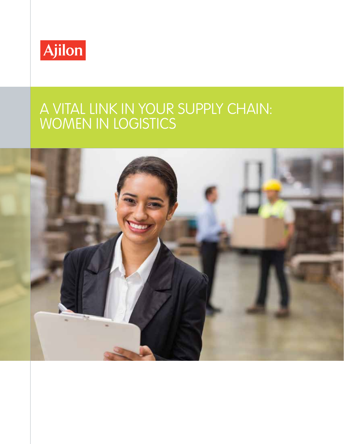

#### A VITAL LINK IN YOUR SUPPLY CHAIN: WOMEN IN LOGISTICS

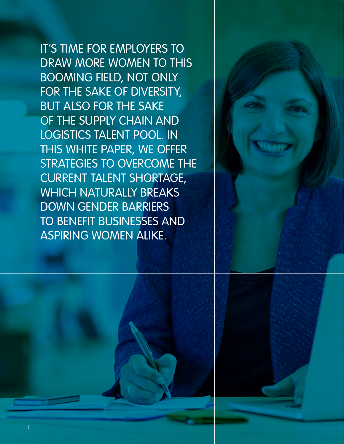IT'S TIME FOR EMPLOYERS TO DRAW MORE WOMEN TO THIS BOOMING FIELD, NOT ONLY FOR THE SAKE OF DIVERSITY, BUT ALSO FOR THE SAKE OF THE SUPPLY CHAIN AND LOGISTICS TALENT POOL. IN THIS WHITE PAPER, WE OFFER STRATEGIES TO OVERCOME THE CURRENT TALENT SHORTAGE, WHICH NATURALLY BREAKS DOWN GENDER BARRIERS TO BENEFIT BUSINESSES AND ASPIRING WOMEN ALIKE.



1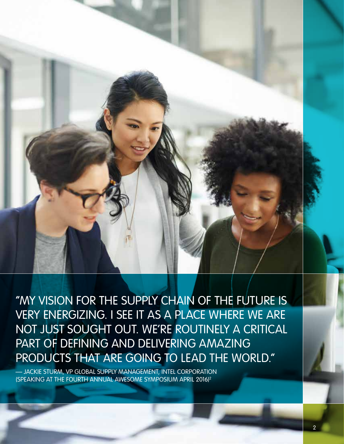

"MY VISION FOR THE SUPPLY CHAIN OF THE FUTURE IS VERY ENERGIZING. I SEE IT AS A PLACE WHERE WE ARE NOT JUST SOUGHT OUT. WE'RE ROUTINELY A CRITICAL PART OF DEFINING AND DELIVERING AMAZING PRODUCTS THAT ARE GOING TO LEAD THE WORLD."

— JACKIE STURM, VP GLOBAL SUPPLY MANAGEMENT, INTEL CORPORATION (SPEAKING AT THE FOURTH ANNUAL AWESOME SYMPOSIUM APRIL 2016)2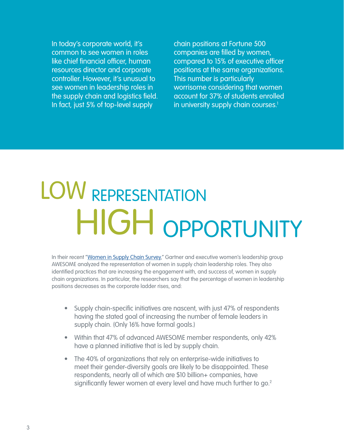In today's corporate world, it's common to see women in roles like chief financial officer, human resources director and corporate controller. However, it's unusual to see women in leadership roles in the supply chain and logistics field. In fact, just 5% of top-level supply

chain positions at Fortune 500 companies are filled by women, compared to 15% of executive officer positions at the same organizations. This number is particularly worrisome considering that women account for 37% of students enrolled in university supply chain courses.<sup>1</sup>

## LOW REPRESENTATION HIGH OPPORTUNITY

In their recent "[Women in Supply Chain Survey](https://www.awesomeleaders.org/research/awesomegartner-research/)," Gartner and executive women's leadership group AWESOME analyzed the representation of women in supply chain leadership roles. They also identified practices that are increasing the engagement with, and success of, women in supply chain organizations. In particular, the researchers say that the percentage of women in leadership positions decreases as the corporate ladder rises, and:

- Supply chain-specific initiatives are nascent, with just 47% of respondents having the stated goal of increasing the number of female leaders in supply chain. (Only 16% have formal goals.)
- Within that 47% of advanced AWESOME member respondents, only 42% have a planned initiative that is led by supply chain.
- The 40% of organizations that rely on enterprise-wide initiatives to meet their gender-diversity goals are likely to be disappointed. These respondents, nearly all of which are \$10 billion+ companies, have significantly fewer women at every level and have much further to go.<sup>2</sup>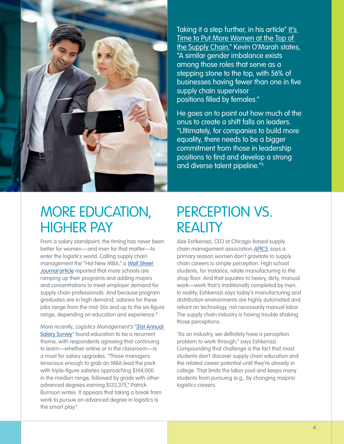

Taking it a step further, in his article" It's [Time to Put More Women at the Top of](http://www.industryweek.com/supply-chain/it-s-time-put-more-women-top-supply-chain)  [the Supply Chain](http://www.industryweek.com/supply-chain/it-s-time-put-more-women-top-supply-chain)," Kevin O'Marah states, "A similar gender imbalance exists among those roles that serve as a stepping stone to the top, with 56% of businesses having fewer than one in five supply chain supervisor positions filled by females."

He goes on to point out how much of the onus to create a shift falls on leaders. "Ultimately, for companies to build more equality, there needs to be a bigger commitment from those in leadership positions to find and develop a strong and diverse talent pipeline."<sup>3</sup>

#### MORE EDUCATION, HIGHER PAY

From a salary standpoint, the timing has never been better for women—and men for that matter—to enter the logistics world. Calling supply chain management the "Hot New MBA," a Wall Street Journal [article](https://www.wsj.com/news/articles/SB10001424127887324423904578523591792789054?mg=id-wsj) reported that more schools are ramping up their programs and adding majors and concentrations to meet employer demand for supply chain professionals. And because program graduates are in high demand, salaries for these jobs range from the mid-50s and up to the six-figure range, depending on education and experience.<sup>8</sup>

More recently, Logistics Management's "[31st Annual](http://www.logisticsmgmt.com/article/31st_annual_salary_survey_work_smart_earn_more)  [Salary Survey"](http://www.logisticsmgmt.com/article/31st_annual_salary_survey_work_smart_earn_more) found education to be a recurrent theme, with respondents agreeing that continuing to learn—whether online or in the classroom—is a must for salary upgrades. "Those managers tenacious enough to grab an MBA lead the pack with triple-figure salaries approaching \$144,000 in the median range, followed by grads with other advanced degrees earning \$133,375," Patrick Burnson writes. It appears that taking a break from work to pursue an advanced degree in logistics is the smart play.<sup>9</sup>

#### PERCEPTION VS. REALITY

Abe Eshkenazi, CEO at Chicago-based supply chain management association **[APICS](http://www.apics.org/)**, says a primary reason women don't gravitate to supply chain careers is simple perception. High school students, for instance, relate manufacturing to the shop floor. And that equates to heavy, dirty, manual work—work that's traditionally completed by men. In reality, Eshkenazi says today's manufacturing and distribution environments are highly automated and reliant on technology, not necessarily manual labor. The supply chain industry is having trouble shaking those perceptions.

"As an industry, we definitely have a perception problem to work through," says Eshkenazi. Compounding that challenge is the fact that most students don't discover supply chain education and the related career potential until they're already in college. That limits the labor pool and keeps many students from pursuing (e.g., by changing majors) logistics careers.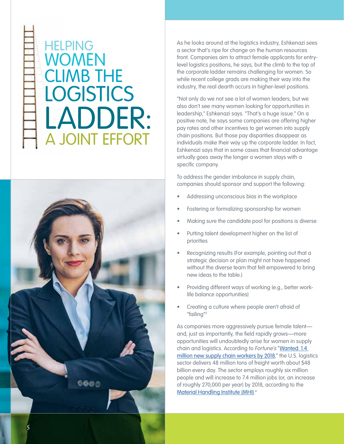### **HELPING** WOMEN CLIMB THE **LOGISTICS** LADDER: A JOINT EFFORT



As he looks around at the logistics industry, Eshkenazi sees a sector that's ripe for change on the human resources front. Companies aim to attract female applicants for entrylevel logistics positions, he says, but the climb to the top of the corporate ladder remains challenging for women. So while recent college grads are making their way into the industry, the real dearth occurs in higher-level positions.

"Not only do we not see a lot of women leaders, but we also don't see many women looking for opportunities in leadership," Eshkenazi says. "That's a huge issue." On a positive note, he says some companies are offering higher pay rates and other incentives to get women into supply chain positions. But those pay disparities disappear as individuals make their way up the corporate ladder. In fact, Eshkenazi says that in some cases that financial advantage virtually goes away the longer a women stays with a specific company.

To address the gender imbalance in supply chain, companies should sponsor and support the following:

- Addressing unconscious bias in the workplace
- Fostering or formalizing sponsorship for women
- Making sure the candidate pool for positions is diverse
- Putting talent development higher on the list of priorities
- Recognizing results (For example, pointing out that a strategic decision or plan might not have happened without the diverse team that felt empowered to bring new ideas to the table.)
- Providing different ways of working (e.g., better worklife balance opportunities)
- Creating a culture where people aren't afraid of "failing"<sup>2</sup>

As companies more aggressively pursue female talent and, just as importantly, the field rapidly grows—more opportunities will undoubtedly arise for women in supply chain and logistics. According to Fortune's "Wanted: 1.4 [million new supply chain workers by 2018](http://fortune.com/2014/05/01/wanted-1-4-million-new-supply-chain-workers-by-2018/)," the U.S. logistics sector delivers 48 million tons of freight worth about \$48 billion every day. The sector employs roughly six million people and will increase to 7.4 million jobs (or, an increase of roughly 270,000 per year) by 2018, according to the [Material Handling Institute \(MHI\)](http://www.mhi.org/). 4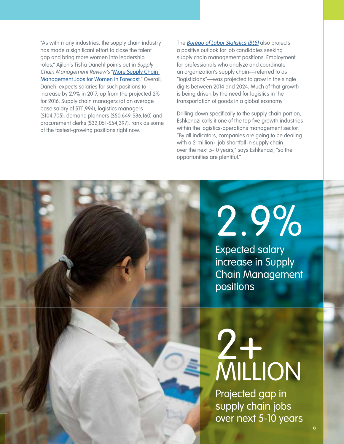"As with many industries, the supply chain industry has made a significant effort to close the talent gap and bring more women into leadership roles," Ajilon's Tisha Danehl points out in Supply Chain Management Review's "[More Supply Chain](http://www.scmr.com/article/more_supply_chain_management_jobs_for_women_in_forecast)  [Management Jobs for Women in Forecast.](http://www.scmr.com/article/more_supply_chain_management_jobs_for_women_in_forecast)" Overall, Danehl expects salaries for such positions to increase by 2.9% in 2017, up from the projected 2% for 2016. Supply chain managers (at an average base salary of \$111,994), logistics managers (\$104,705), demand planners (\$50,649-\$86,160) and procurement clerks (\$32,051-\$54,397), rank as some of the fastest-growing positions right now.

The **[Bureau of Labor Statistics \(BLS\)](https://www.bls.gov/ooh/business-and-financial/logisticians.htm)** also projects a positive outlook for job candidates seeking supply chain management positions. Employment for professionals who analyze and coordinate an organization's supply chain—referred to as "logisticians"—was projected to grow in the single digits between 2014 and 2024. Much of that growth is being driven by the need for logistics in the transportation of goods in a global economy.5

Drilling down specifically to the supply chain portion, Eshkenazi calls it one of the top five growth industries within the logistics-operations management sector. "By all indicators, companies are going to be dealing with a 2-million+ job shortfall in supply chain over the next 5-10 years," says Eshkenazi, "so the opportunities are plentiful."

# 2.9%

Expected salary increase in Supply Chain Management positions

## 2+ MILLION

Projected gap in supply chain jobs over next 5-10 years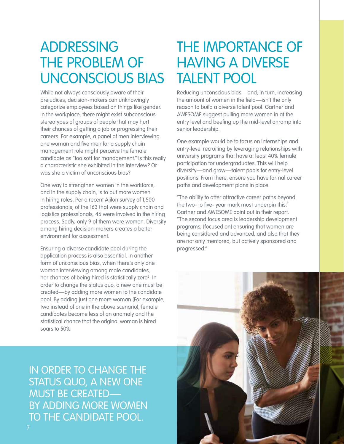ADDRESSING THE PROBLEM OF UNCONSCIOUS BIAS

While not always consciously aware of their prejudices, decision-makers can unknowingly categorize employees based on things like gender. In the workplace, there might exist subconscious stereotypes of groups of people that may hurt their chances of getting a job or progressing their careers. For example, a panel of men interviewing one woman and five men for a supply chain management role might perceive the female candidate as "too soft for management." Is this really a characteristic she exhibited in the interview? Or was she a victim of unconscious bias?

One way to strengthen women in the workforce, and in the supply chain, is to put more women in hiring roles. Per a recent Ajilon survey of 1,500 professionals, of the 163 that were supply chain and logistics professionals, 46 were involved in the hiring process. Sadly, only 9 of them were women. Diversity among hiring decision-makers creates a better environment for assessment.

Ensuring a diverse candidate pool during the application process is also essential. In another form of unconscious bias, when there's only one woman interviewing among male candidates, her chances of being hired is statistically zero<sup>6</sup>. In order to change the status quo, a new one must be created—by adding more women to the candidate pool. By adding just one more woman (For example, two instead of one in the above scenario), female candidates become less of an anomaly and the statistical chance that the original woman is hired soars to 50%.

IN ORDER TO CHANGE THE STATUS QUO, A NEW ONE MUST BE CREATED— BY ADDING MORE WOMEN TO THE CANDIDATE POOL.

#### THE IMPORTANCE OF HAVING A DIVERSE TALENT POOL

Reducing unconscious bias—and, in turn, increasing the amount of women in the field—isn't the only reason to build a diverse talent pool. Gartner and AWESOME suggest pulling more women in at the entry level and beefing up the mid-level onramp into senior leadership.

One example would be to focus on internships and entry-level recruiting by leveraging relationships with university programs that have at least 40% female participation for undergraduates. This will help diversify—and grow—talent pools for entry-level positions. From there, ensure you have formal career paths and development plans in place.

"The ability to offer attractive career paths beyond the two- to five- year mark must underpin this," Gartner and AWESOME point out in their report. "The second focus area is leadership development programs, [focused on] ensuring that women are being considered and advanced, and also that they are not only mentored, but actively sponsored and progressed."

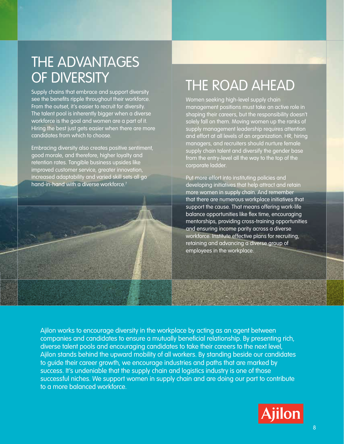### THE ADVANTAGES OF DIVERSITY

Supply chains that embrace and support diversity see the benefits ripple throughout their workforce. From the outset, it's easier to recruit for diversity. The talent pool is inherently bigger when a diverse workforce is the goal and women are a part of it. Hiring the best just gets easier when there are more candidates from which to choose.

Embracing diversity also creates positive sentiment, good morale, and therefore, higher loyalty and retention rates. Tangible business upsides like improved customer service, greater innovation, increased adaptability and varied skill sets all go hand-in-hand with a diverse workforce.7



### THE ROAD AHEAD

Women seeking high-level supply chain management positions must take an active role in shaping their careers, but the responsibility doesn't solely fall on them. Moving women up the ranks of supply management leadership requires attention and effort at all levels of an organization. HR, hiring managers, and recruiters should nurture female supply chain talent and diversify the gender base from the entry-level all the way to the top of the corporate ladder.

Put more effort into instituting policies and developing initiatives that help attract and retain more women in supply chain. And remember that there are numerous workplace initiatives that support the cause. That means offering work-life balance opportunities like flex time, encouraging mentorships, providing cross-training opportunities and ensuring income parity across a diverse workforce. Institute effective plans for recruiting, retaining and advancing a diverse group of employees in the workplace.

Ajilon works to encourage diversity in the workplace by acting as an agent between companies and candidates to ensure a mutually beneficial relationship. By presenting rich, diverse talent pools and encouraging candidates to take their careers to the next level, Ajilon stands behind the upward mobility of all workers. By standing beside our candidates to guide their career growth, we encourage industries and paths that are marked by success. It's undeniable that the supply chain and logistics industry is one of those successful niches. We support women in supply chain and are doing our part to contribute to a more balanced workforce.

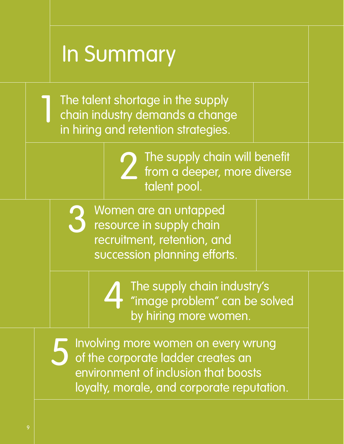## In Summary

The talent shortage in the supply chain industry demands a change in hiring and retention strategies.



The supply chain will benefit from a deeper, more diverse talent pool.

Women are an untapped resource in supply chain recruitment, retention, and succession planning efforts. 3



The supply chain industry's "image problem" can be solved by hiring more women.

Involving more women on every wrung of the corporate ladder creates an environment of inclusion that boosts loyalty, morale, and corporate reputation. 5

1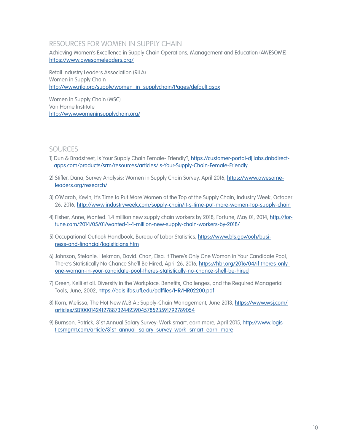#### RESOURCES FOR WOMEN IN SUPPLY CHAIN

Achieving Women's Excellence in Supply Chain Operations, Management and Education (AWESOME) <https://www.awesomeleaders.org/>

Retail Industry Leaders Association (RILA) Women in Supply Chain [http://www.rila.org/supply/women\\_in\\_supplychain/Pages/default.aspx](http://www.rila.org/supply/women_in_supplychain/Pages/default.aspx)

Women in Supply Chain (WSC) Van Horne Institute <http://www.womeninsupplychain.org/>

#### **SOURCES**

- 1) Dun & Bradstreet, Is Your Supply Chain Female- Friendly?, [https://customer-portal-dj.labs.dnbdirect](https://customer-portal-dj.labs.dnbdirectapps.com/products/srm/resources/articles/Is-Your-Supply-Chain-Female-Friendly)[apps.com/products/srm/resources/articles/Is-Your-Supply-Chain-Female-Friendly](https://customer-portal-dj.labs.dnbdirectapps.com/products/srm/resources/articles/Is-Your-Supply-Chain-Female-Friendly)
- 2) Stifler, Dana, Survey Analysis: Women in Supply Chain Survey, April 2016, [https://www.awesome](https://www.awesomeleaders.org/research/)[leaders.org/research/](https://www.awesomeleaders.org/research/)
- 3) O'Marah, Kevin, It's Time to Put More Women at the Top of the Supply Chain, Industry Week, October 26, 2016, <http://www.industryweek.com/supply-chain/it-s-time-put-more-women-top-supply-chain>
- 4) Fisher, Anne, Wanted: 1.4 million new supply chain workers by 2018, Fortune, May 01, 2014, [http://for](http://fortune.com/2014/05/01/wanted-1-4-million-new-supply-chain-workers-by-2018/)[tune.com/2014/05/01/wanted-1-4-million-new-supply-chain-workers-by-2018/](http://fortune.com/2014/05/01/wanted-1-4-million-new-supply-chain-workers-by-2018/)
- 5) Occupational Outlook Handbook, Bureau of Labor Statistics, [https://www.bls.gov/ooh/busi](https://www.bls.gov/ooh/business-and-financial/logisticians.htm)[ness-and-financial/logisticians.htm](https://www.bls.gov/ooh/business-and-financial/logisticians.htm)
- 6) Johnson, Stefanie. Hekman, David. Chan, Elsa: If There's Only One Woman in Your Candidate Pool, There's Statistically No Chance She'll Be Hired, April 26, 2016, [https://hbr.org/2016/04/if-theres-only](https://hbr.org/2016/04/if-theres-only-one-woman-in-your-candidate-pool-theres-statistically-no-chance-shell-be-hired)[one-woman-in-your-candidate-pool-theres-statistically-no-chance-shell-be-hired](https://hbr.org/2016/04/if-theres-only-one-woman-in-your-candidate-pool-theres-statistically-no-chance-shell-be-hired)
- 7) Green, Kelli et all. Diversity in the Workplace: Benefits, Challenges, and the Required Managerial Tools, June, 2002,<https://edis.ifas.ufl.edu/pdffiles/HR/HR02200.pdf>
- 8) Korn, Melissa, The Hot New M.B.A.: Supply-Chain Management, June 2013, [https://www.wsj.com/](https://www.wsj.com/articles/SB10001424127887324423904578523591792789054) [articles/SB10001424127887324423904578523591792789054](https://www.wsj.com/articles/SB10001424127887324423904578523591792789054)
- 9) Burnson, Patrick, 31st Annual Salary Survey: Work smart, earn more, April 2015, [http://www.logis](http://www.logisticsmgmt.com/article/31st_annual_salary_survey_work_smart_earn_more)[ticsmgmt.com/article/31st\\_annual\\_salary\\_survey\\_work\\_smart\\_earn\\_more](http://www.logisticsmgmt.com/article/31st_annual_salary_survey_work_smart_earn_more)